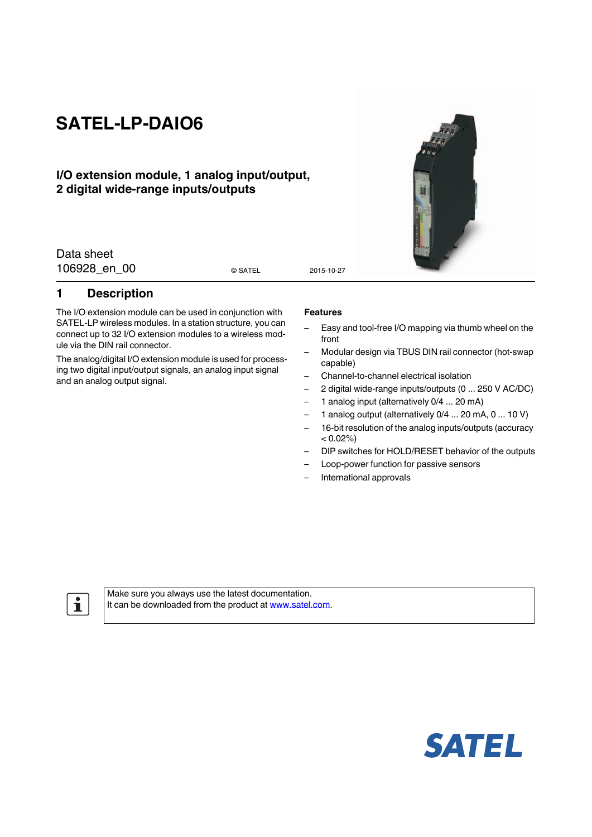# **SATEL-LP-DAIO6**

### **I/O extension module, 1 analog input/output, 2 digital wide-range inputs/outputs**

Data sheet 106928 en 00 esatel 2015-10-27

© SATEL

### <span id="page-0-0"></span>**1 Description**

The I/O extension module can be used in conjunction with SATEL-LP wireless modules. In a station structure, you can connect up to 32 I/O extension modules to a wireless module via the DIN rail connector.

The analog/digital I/O extension module is used for processing two digital input/output signals, an analog input signal and an analog output signal.

#### **Features**

- Easy and tool-free I/O mapping via thumb wheel on the front
- Modular design via TBUS DIN rail connector (hot-swap capable)
- Channel-to-channel electrical isolation
- 2 digital wide-range inputs/outputs (0 ... 250 V AC/DC)
- 1 analog input (alternatively 0/4 ... 20 mA)
- 1 analog output (alternatively 0/4 ... 20 mA, 0 ... 10 V)
- 16-bit resolution of the analog inputs/outputs (accuracy  $< 0.02\%)$
- DIP switches for HOLD/RESET behavior of the outputs
- Loop-power function for passive sensors
- International approvals

Make sure you always use the latest documentation. It can be downloaded from the product at www.satel.com.



 $\mathbf{i}$ 

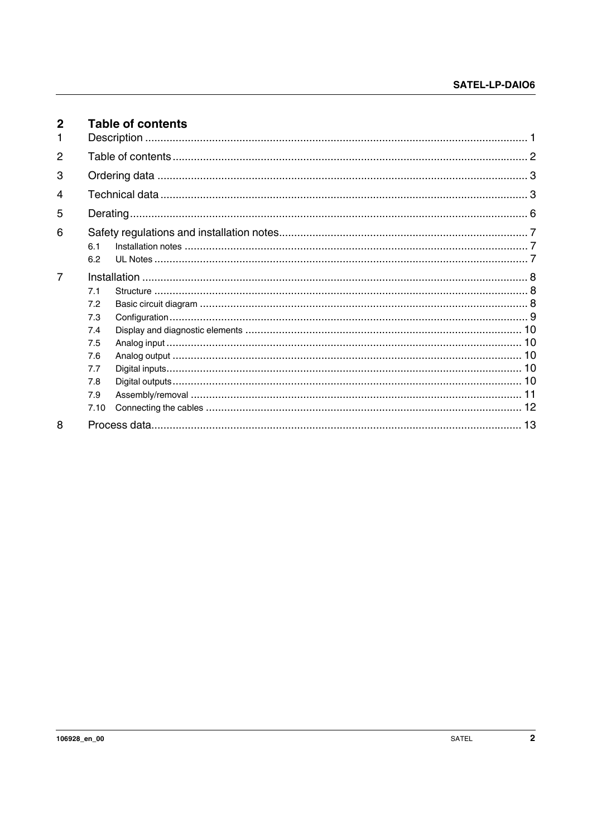<span id="page-1-0"></span>

| $\mathbf{2}$   |      | <b>Table of contents</b> |  |
|----------------|------|--------------------------|--|
|                |      |                          |  |
| $\overline{2}$ |      |                          |  |
| 3              |      |                          |  |
| 4              |      |                          |  |
| 5              |      |                          |  |
| 6              |      |                          |  |
|                | 6.1  |                          |  |
|                | 6.2  |                          |  |
| $\overline{7}$ |      |                          |  |
|                | 7.1  |                          |  |
|                | 7.2  |                          |  |
|                | 7.3  |                          |  |
|                | 7.4  |                          |  |
|                | 7.5  |                          |  |
|                | 7.6  |                          |  |
|                | 7.7  |                          |  |
|                | 7.8  |                          |  |
|                | 7.9  |                          |  |
|                | 7.10 |                          |  |
| 8              |      |                          |  |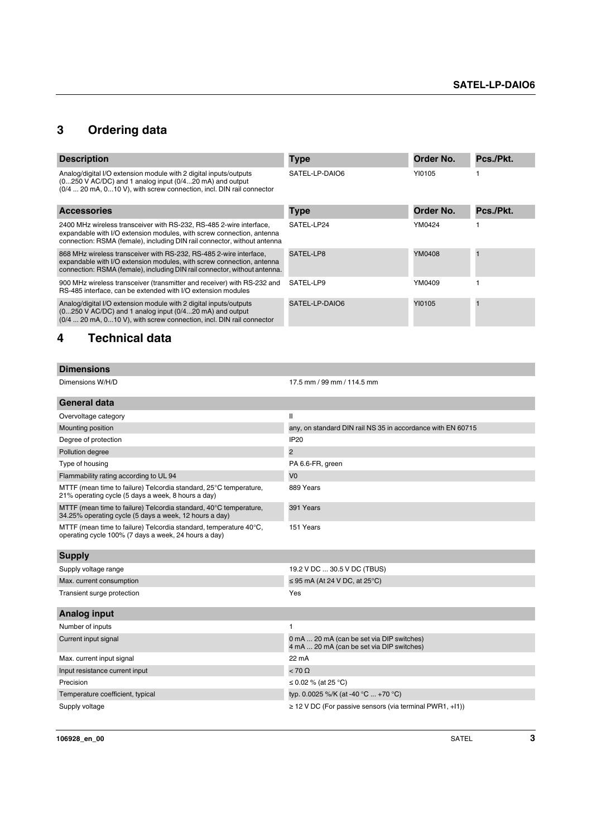# <span id="page-2-0"></span>**3 Ordering data**

| <b>Description</b>                                                                                                                                                                                                       | <b>Type</b>    | Order No. | Pcs./Pkt. |
|--------------------------------------------------------------------------------------------------------------------------------------------------------------------------------------------------------------------------|----------------|-----------|-----------|
| Analog/digital I/O extension module with 2 digital inputs/outputs<br>$(0250$ V AC/DC) and 1 analog input $(0/420$ mA) and output<br>(0/4  20 mA, 010 V), with screw connection, incl. DIN rail connector                 | SATEL-LP-DAIO6 | YI0105    |           |
| <b>Accessories</b>                                                                                                                                                                                                       | <b>Type</b>    | Order No. | Pcs./Pkt. |
| 2400 MHz wireless transceiver with RS-232, RS-485 2-wire interface,<br>expandable with I/O extension modules, with screw connection, antenna<br>connection: RSMA (female), including DIN rail connector, without antenna | SATEL-LP24     | YM0424    |           |
| 868 MHz wireless transceiver with RS-232, RS-485 2-wire interface,<br>expandable with I/O extension modules, with screw connection, antenna<br>connection: RSMA (female), including DIN rail connector, without antenna. | SATEL-LP8      | YM0408    |           |
| 900 MHz wireless transceiver (transmitter and receiver) with RS-232 and<br>RS-485 interface, can be extended with I/O extension modules                                                                                  | SATEL-LP9      | YM0409    |           |
| Analog/digital I/O extension module with 2 digital inputs/outputs<br>(0250 V AC/DC) and 1 analog input (0/420 mA) and output<br>(0/4  20 mA, 010 V), with screw connection, incl. DIN rail connector                     | SATEL-LP-DAIO6 | YI0105    |           |
| Technical data<br>4                                                                                                                                                                                                      |                |           |           |

<span id="page-2-1"></span>

| <b>Dimensions</b>    |                                                             |
|----------------------|-------------------------------------------------------------|
| Dimensions W/H/D     | 17.5 mm / 99 mm / 114.5 mm                                  |
| <b>General data</b>  |                                                             |
| Overvoltage category | $\mathbf{I}$                                                |
| Mounting position    | any, on standard DIN rail NS 35 in accordance with EN 60715 |
| Degree of protection | IP20                                                        |
| Pollution degree     | $\overline{2}$                                              |
| Type of housing      | PA 6.6-FR, green                                            |

Flammability rating according to UL 94 MTTF (mean time to failure) Telcordia standard, 25°C temperature, 21% operating cycle (5 days a week, 8 hours a day) 889 Years MTTF (mean time to failure) Telcordia standard, 40°C temperature, 34.25% operating cycle (5 days a week, 12 hours a day) 391 Years 151 Years

MTTF (mean time to failure) Telcordia standard, temperature 40°C, operating cycle 100% (7 days a week, 24 hours a day)

| <b>Supply</b>                    |                                                                                        |
|----------------------------------|----------------------------------------------------------------------------------------|
| Supply voltage range             | 19.2 V DC  30.5 V DC (TBUS)                                                            |
| Max. current consumption         | $\leq$ 95 mA (At 24 V DC, at 25°C)                                                     |
| Transient surge protection       | Yes                                                                                    |
| Analog input                     |                                                                                        |
| Number of inputs                 |                                                                                        |
| Current input signal             | 0 mA  20 mA (can be set via DIP switches)<br>4 mA  20 mA (can be set via DIP switches) |
| Max. current input signal        | 22 mA                                                                                  |
| Input resistance current input   | $< 70 \Omega$                                                                          |
| Precision                        | ≤ 0.02 % (at 25 °C)                                                                    |
| Temperature coefficient, typical | typ. 0.0025 %/K (at -40 °C  +70 °C)                                                    |
| Supply voltage                   | $\geq$ 12 V DC (For passive sensors (via terminal PWR1, +11))                          |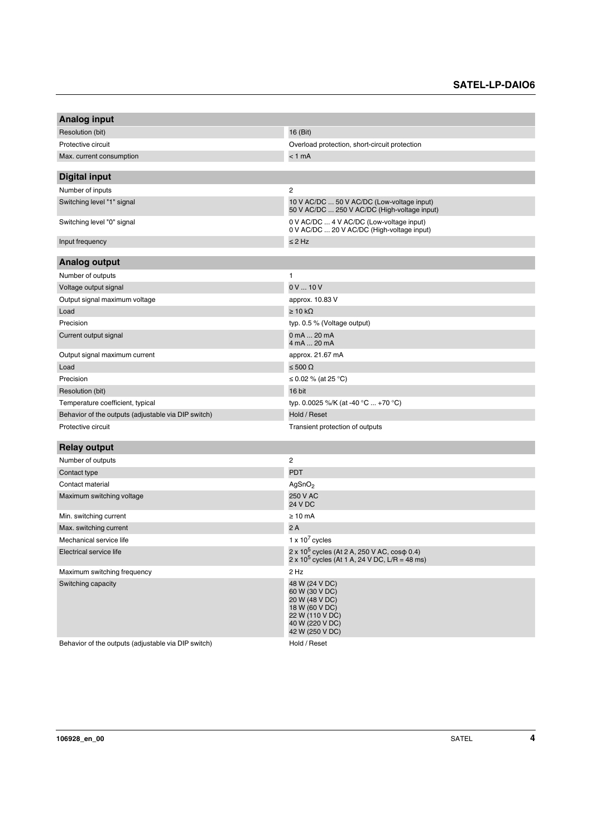| <b>Analog input</b>                                 |                                                                                                                               |  |  |
|-----------------------------------------------------|-------------------------------------------------------------------------------------------------------------------------------|--|--|
| Resolution (bit)                                    | 16 (Bit)                                                                                                                      |  |  |
| Protective circuit                                  | Overload protection, short-circuit protection                                                                                 |  |  |
| Max. current consumption                            | < 1 mA                                                                                                                        |  |  |
|                                                     |                                                                                                                               |  |  |
| <b>Digital input</b>                                |                                                                                                                               |  |  |
| Number of inputs                                    | 2                                                                                                                             |  |  |
| Switching level "1" signal                          | 10 V AC/DC  50 V AC/DC (Low-voltage input)<br>50 V AC/DC  250 V AC/DC (High-voltage input)                                    |  |  |
| Switching level "0" signal                          | 0 V AC/DC  4 V AC/DC (Low-voltage input)<br>0 V AC/DC  20 V AC/DC (High-voltage input)                                        |  |  |
| Input frequency                                     | $\leq$ 2 Hz                                                                                                                   |  |  |
|                                                     |                                                                                                                               |  |  |
| <b>Analog output</b>                                |                                                                                                                               |  |  |
| Number of outputs                                   | 1                                                                                                                             |  |  |
| Voltage output signal                               | 0V10V                                                                                                                         |  |  |
| Output signal maximum voltage                       | approx. 10.83 V                                                                                                               |  |  |
| Load                                                | $\geq 10 \text{ k}\Omega$                                                                                                     |  |  |
| Precision                                           | typ. 0.5 % (Voltage output)                                                                                                   |  |  |
| Current output signal                               | 0 mA  20 mA<br>4 mA  20 mA                                                                                                    |  |  |
| Output signal maximum current                       | approx. 21.67 mA                                                                                                              |  |  |
| Load                                                | ≤ 500 Ω                                                                                                                       |  |  |
| Precision                                           | ≤ 0.02 % (at 25 °C)                                                                                                           |  |  |
| Resolution (bit)                                    | 16 bit                                                                                                                        |  |  |
| Temperature coefficient, typical                    | typ. 0.0025 %/K (at -40 °C  +70 °C)                                                                                           |  |  |
| Behavior of the outputs (adjustable via DIP switch) | Hold / Reset                                                                                                                  |  |  |
| Protective circuit                                  | Transient protection of outputs                                                                                               |  |  |
| <b>Relay output</b>                                 |                                                                                                                               |  |  |
| Number of outputs                                   | 2                                                                                                                             |  |  |
| Contact type                                        | <b>PDT</b>                                                                                                                    |  |  |
| Contact material                                    | AgSnO <sub>2</sub>                                                                                                            |  |  |
| Maximum switching voltage                           | 250 V AC<br>24 V DC                                                                                                           |  |  |
| Min. switching current                              | $\geq 10$ mA                                                                                                                  |  |  |
| Max. switching current                              | 2A                                                                                                                            |  |  |
| Mechanical service life                             | 1 x $10^7$ cycles                                                                                                             |  |  |
| Electrical service life                             | 2 x 10 <sup>5</sup> cycles (At 2 A, 250 V AC, cos p 0.4)<br>2 x 10 <sup>5</sup> cycles (At 1 A, 24 V DC, L/R = 48 ms)         |  |  |
| Maximum switching frequency                         | 2 Hz                                                                                                                          |  |  |
| Switching capacity                                  | 48 W (24 V DC)<br>60 W (30 V DC)<br>20 W (48 V DC)<br>18 W (60 V DC)<br>22 W (110 V DC)<br>40 W (220 V DC)<br>42 W (250 V DC) |  |  |

Behavior of the outputs (adjustable via DIP switch) Hold / Reset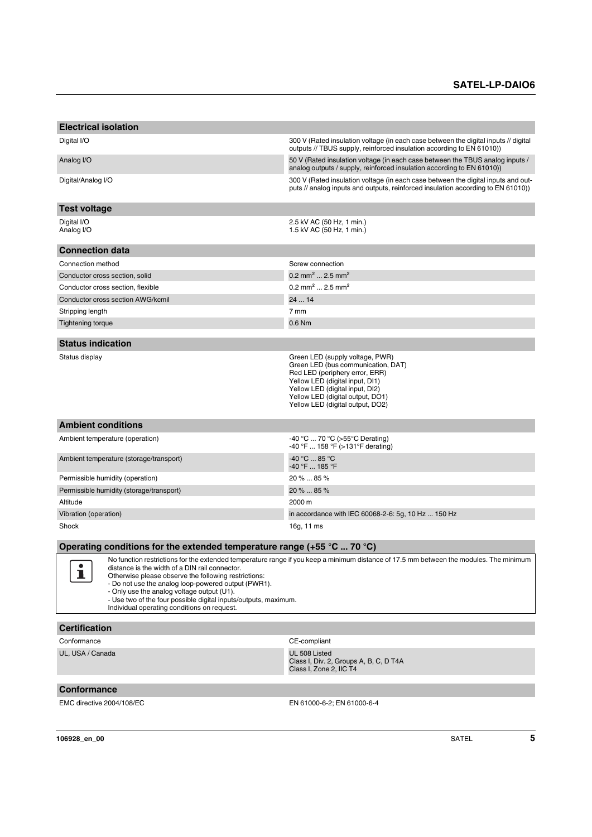| <b>Electrical isolation</b>                                                                                                                                                                                                                                                                                                                                                                                                                                                                |                                                                                                                                                                                                                                                       |  |  |
|--------------------------------------------------------------------------------------------------------------------------------------------------------------------------------------------------------------------------------------------------------------------------------------------------------------------------------------------------------------------------------------------------------------------------------------------------------------------------------------------|-------------------------------------------------------------------------------------------------------------------------------------------------------------------------------------------------------------------------------------------------------|--|--|
|                                                                                                                                                                                                                                                                                                                                                                                                                                                                                            |                                                                                                                                                                                                                                                       |  |  |
| Digital I/O                                                                                                                                                                                                                                                                                                                                                                                                                                                                                | 300 V (Rated insulation voltage (in each case between the digital inputs // digital<br>outputs // TBUS supply, reinforced insulation according to EN 61010))                                                                                          |  |  |
| Analog I/O                                                                                                                                                                                                                                                                                                                                                                                                                                                                                 | 50 V (Rated insulation voltage (in each case between the TBUS analog inputs /<br>analog outputs / supply, reinforced insulation according to EN 61010))                                                                                               |  |  |
| Digital/Analog I/O                                                                                                                                                                                                                                                                                                                                                                                                                                                                         | 300 V (Rated insulation voltage (in each case between the digital inputs and out-<br>puts // analog inputs and outputs, reinforced insulation according to EN 61010))                                                                                 |  |  |
| <b>Test voltage</b>                                                                                                                                                                                                                                                                                                                                                                                                                                                                        |                                                                                                                                                                                                                                                       |  |  |
| Digital I/O<br>Analog I/O                                                                                                                                                                                                                                                                                                                                                                                                                                                                  | 2.5 kV AC (50 Hz, 1 min.)<br>1.5 kV AC (50 Hz, 1 min.)                                                                                                                                                                                                |  |  |
| <b>Connection data</b>                                                                                                                                                                                                                                                                                                                                                                                                                                                                     |                                                                                                                                                                                                                                                       |  |  |
| Connection method                                                                                                                                                                                                                                                                                                                                                                                                                                                                          | Screw connection                                                                                                                                                                                                                                      |  |  |
| Conductor cross section, solid                                                                                                                                                                                                                                                                                                                                                                                                                                                             | 0.2 mm <sup>2</sup> 2.5 mm <sup>2</sup>                                                                                                                                                                                                               |  |  |
| Conductor cross section, flexible                                                                                                                                                                                                                                                                                                                                                                                                                                                          | $0.2$ mm <sup>2</sup> 2.5 mm <sup>2</sup>                                                                                                                                                                                                             |  |  |
| Conductor cross section AWG/kcmil                                                                                                                                                                                                                                                                                                                                                                                                                                                          | 24  14                                                                                                                                                                                                                                                |  |  |
| Stripping length                                                                                                                                                                                                                                                                                                                                                                                                                                                                           | 7 mm                                                                                                                                                                                                                                                  |  |  |
| <b>Tightening torque</b>                                                                                                                                                                                                                                                                                                                                                                                                                                                                   | 0.6 Nm                                                                                                                                                                                                                                                |  |  |
|                                                                                                                                                                                                                                                                                                                                                                                                                                                                                            |                                                                                                                                                                                                                                                       |  |  |
| <b>Status indication</b>                                                                                                                                                                                                                                                                                                                                                                                                                                                                   |                                                                                                                                                                                                                                                       |  |  |
| Status display                                                                                                                                                                                                                                                                                                                                                                                                                                                                             | Green LED (supply voltage, PWR)<br>Green LED (bus communication, DAT)<br>Red LED (periphery error, ERR)<br>Yellow LED (digital input, DI1)<br>Yellow LED (digital input, DI2)<br>Yellow LED (digital output, DO1)<br>Yellow LED (digital output, DO2) |  |  |
| <b>Ambient conditions</b>                                                                                                                                                                                                                                                                                                                                                                                                                                                                  |                                                                                                                                                                                                                                                       |  |  |
| Ambient temperature (operation)                                                                                                                                                                                                                                                                                                                                                                                                                                                            | -40 °C  70 °C (>55 °C Derating)<br>-40 °F  158 °F (>131 °F derating)                                                                                                                                                                                  |  |  |
| Ambient temperature (storage/transport)                                                                                                                                                                                                                                                                                                                                                                                                                                                    | $-40 °C  85 °C$<br>-40 °F  185 °F                                                                                                                                                                                                                     |  |  |
| Permissible humidity (operation)                                                                                                                                                                                                                                                                                                                                                                                                                                                           | 20 %  85 %                                                                                                                                                                                                                                            |  |  |
| Permissible humidity (storage/transport)                                                                                                                                                                                                                                                                                                                                                                                                                                                   | 20 %  85 %                                                                                                                                                                                                                                            |  |  |
| Altitude                                                                                                                                                                                                                                                                                                                                                                                                                                                                                   | 2000 m                                                                                                                                                                                                                                                |  |  |
| Vibration (operation)                                                                                                                                                                                                                                                                                                                                                                                                                                                                      | in accordance with IEC 60068-2-6: 5g, 10 Hz  150 Hz                                                                                                                                                                                                   |  |  |
| Shock                                                                                                                                                                                                                                                                                                                                                                                                                                                                                      | 16g, 11 ms                                                                                                                                                                                                                                            |  |  |
| Operating conditions for the extended temperature range (+55 $\degree$ C  70 $\degree$ C)                                                                                                                                                                                                                                                                                                                                                                                                  |                                                                                                                                                                                                                                                       |  |  |
| No function restrictions for the extended temperature range if you keep a minimum distance of 17.5 mm between the modules. The minimum<br>$\bullet$<br>distance is the width of a DIN rail connector.<br>I.<br>Otherwise please observe the following restrictions:<br>- Do not use the analog loop-powered output (PWR1).<br>- Only use the analog voltage output (U1).<br>- Use two of the four possible digital inputs/outputs, maximum.<br>Individual operating conditions on request. |                                                                                                                                                                                                                                                       |  |  |
| <b>Certification</b>                                                                                                                                                                                                                                                                                                                                                                                                                                                                       |                                                                                                                                                                                                                                                       |  |  |
| Conformance                                                                                                                                                                                                                                                                                                                                                                                                                                                                                | CE-compliant                                                                                                                                                                                                                                          |  |  |
| UL, USA / Canada                                                                                                                                                                                                                                                                                                                                                                                                                                                                           | UL 508 Listed<br>Class I, Div. 2, Groups A, B, C, D T4A<br>Class I, Zone 2, IIC T4                                                                                                                                                                    |  |  |
| Conformance                                                                                                                                                                                                                                                                                                                                                                                                                                                                                |                                                                                                                                                                                                                                                       |  |  |

EMC directive 2004/108/EC **EMC** directive 2004/108/EC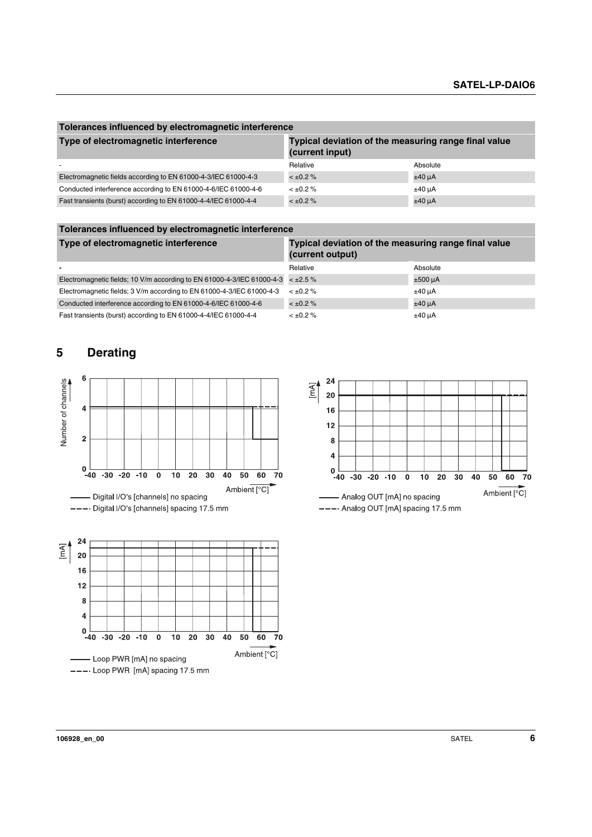| Tolerances influenced by electromagnetic interference           |                                                                         |             |  |
|-----------------------------------------------------------------|-------------------------------------------------------------------------|-------------|--|
| Type of electromagnetic interference                            | Typical deviation of the measuring range final value<br>(current input) |             |  |
|                                                                 | Relative                                                                | Absolute    |  |
| Electromagnetic fields according to EN 61000-4-3/IEC 61000-4-3  | $< \pm 0.2 \%$                                                          | $±40 \mu A$ |  |
| Conducted interference according to EN 61000-4-6/IEC 61000-4-6  | $< \pm 0.2 \%$                                                          | $±40 \mu A$ |  |
| Fast transients (burst) according to EN 61000-4-4/IEC 61000-4-4 | $< \pm 0.2 \%$                                                          | $±40 \mu A$ |  |

**Tolerances influenced by electromagnetic interference**

| Type of electromagnetic interference                                                | Typical deviation of the measuring range final value<br>(current output) |              |  |
|-------------------------------------------------------------------------------------|--------------------------------------------------------------------------|--------------|--|
| $\blacksquare$                                                                      | Relative                                                                 | Absolute     |  |
| Electromagnetic fields; 10 V/m according to EN 61000-4-3/IEC 61000-4-3 $\lt$ ±2.5 % |                                                                          | $±500 \mu A$ |  |
| Electromagnetic fields; 3 V/m according to EN 61000-4-3/IEC 61000-4-3               | $< \pm 0.2 \%$                                                           | $±40 \mu A$  |  |
| Conducted interference according to EN 61000-4-6/IEC 61000-4-6                      | $< \pm 0.2 \%$                                                           | $±40 \mu A$  |  |
| Fast transients (burst) according to EN 61000-4-4/IEC 61000-4-4                     | $< \pm 0.2 \%$                                                           | $±40 \mu A$  |  |

# <span id="page-5-0"></span>**5 Derating**



---- Loop PWR [mA] spacing 17.5 mm

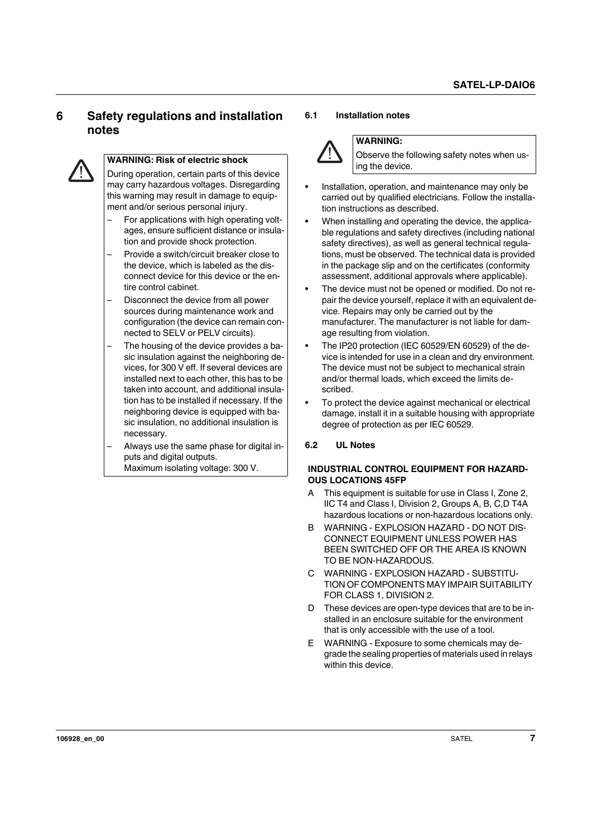# <span id="page-6-0"></span>**6 Safety regulations and installation notes**



#### **WARNING: Risk of electric shock**

During operation, certain parts of this device may carry hazardous voltages. Disregarding this warning may result in damage to equipment and/or serious personal injury.

- For applications with high operating voltages, ensure sufficient distance or insulation and provide shock protection.
- Provide a switch/circuit breaker close to the device, which is labeled as the disconnect device for this device or the entire control cabinet.
- Disconnect the device from all power sources during maintenance work and configuration (the device can remain connected to SELV or PELV circuits).
- The housing of the device provides a basic insulation against the neighboring devices, for 300 V eff. If several devices are installed next to each other, this has to be taken into account, and additional insulation has to be installed if necessary. If the neighboring device is equipped with basic insulation, no additional insulation is necessary.
- Always use the same phase for digital inputs and digital outputs. Maximum isolating voltage: 300 V.

#### <span id="page-6-1"></span>**6.1 Installation notes**



#### **WARNING:**

Observe the following safety notes when using the device.

- **•** Installation, operation, and maintenance may only be carried out by qualified electricians. Follow the installation instructions as described.
- **•** When installing and operating the device, the applicable regulations and safety directives (including national safety directives), as well as general technical regulations, must be observed. The technical data is provided in the package slip and on the certificates (conformity assessment, additional approvals where applicable).
- **•** The device must not be opened or modified. Do not repair the device yourself, replace it with an equivalent device. Repairs may only be carried out by the manufacturer. The manufacturer is not liable for damage resulting from violation.
- **•** The IP20 protection (IEC 60529/EN 60529) of the device is intended for use in a clean and dry environment. The device must not be subject to mechanical strain and/or thermal loads, which exceed the limits described.
- **•** To protect the device against mechanical or electrical damage, install it in a suitable housing with appropriate degree of protection as per IEC 60529.

#### <span id="page-6-2"></span>**6.2 UL Notes**

#### **INDUSTRIAL CONTROL EQUIPMENT FOR HAZARD-OUS LOCATIONS 45FP**

- A This equipment is suitable for use in Class I, Zone 2, IIC T4 and Class I, Division 2, Groups A, B, C,D T4A hazardous locations or non-hazardous locations only.
- B WARNING EXPLOSION HAZARD DO NOT DIS-CONNECT EQUIPMENT UNLESS POWER HAS BEEN SWITCHED OFF OR THE AREA IS KNOWN TO BE NON-HAZARDOUS.
- C WARNING EXPLOSION HAZARD SUBSTITU-TION OF COMPONENTS MAY IMPAIR SUITABILITY FOR CLASS 1, DIVISION 2.
- D These devices are open-type devices that are to be installed in an enclosure suitable for the environment that is only accessible with the use of a tool.
- E WARNING Exposure to some chemicals may degrade the sealing properties of materials used in relays within this device.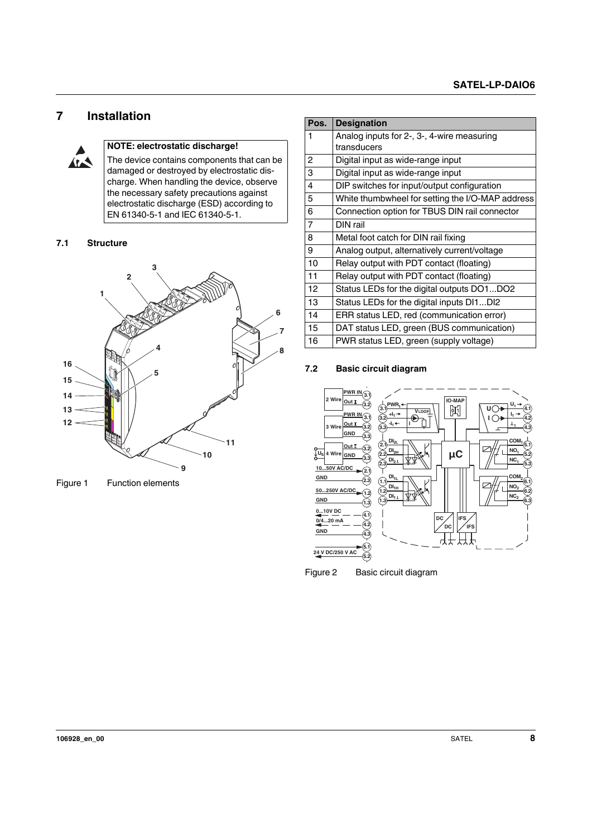## <span id="page-7-0"></span>**7 Installation**



#### **NOTE: electrostatic discharge!**

The device contains components that can be damaged or destroyed by electrostatic discharge. When handling the device, observe the necessary safety precautions against electrostatic discharge (ESD) according to EN 61340-5-1 and IEC 61340-5-1.

#### <span id="page-7-1"></span>**7.1 Structure**



Figure 1 Function elements

| Pos.           | <b>Designation</b>                               |  |  |
|----------------|--------------------------------------------------|--|--|
| 1              | Analog inputs for 2-, 3-, 4-wire measuring       |  |  |
|                | transducers                                      |  |  |
| 2              | Digital input as wide-range input                |  |  |
| 3              | Digital input as wide-range input                |  |  |
| 4              | DIP switches for input/output configuration      |  |  |
| 5              | White thumbwheel for setting the I/O-MAP address |  |  |
| 6              | Connection option for TBUS DIN rail connector    |  |  |
| $\overline{7}$ | DIN rail                                         |  |  |
| 8              | Metal foot catch for DIN rail fixing             |  |  |
| 9              | Analog output, alternatively current/voltage     |  |  |
| 10             | Relay output with PDT contact (floating)         |  |  |
| 11             | Relay output with PDT contact (floating)         |  |  |
| 12             | Status LEDs for the digital outputs DO1DO2       |  |  |
| 13             | Status LEDs for the digital inputs DI1DI2        |  |  |
| 14             | ERR status LED, red (communication error)        |  |  |
| 15             | DAT status LED, green (BUS communication)        |  |  |
| 16             | PWR status LED, green (supply voltage)           |  |  |

#### <span id="page-7-2"></span>**7.2 Basic circuit diagram**



Figure 2 Basic circuit diagram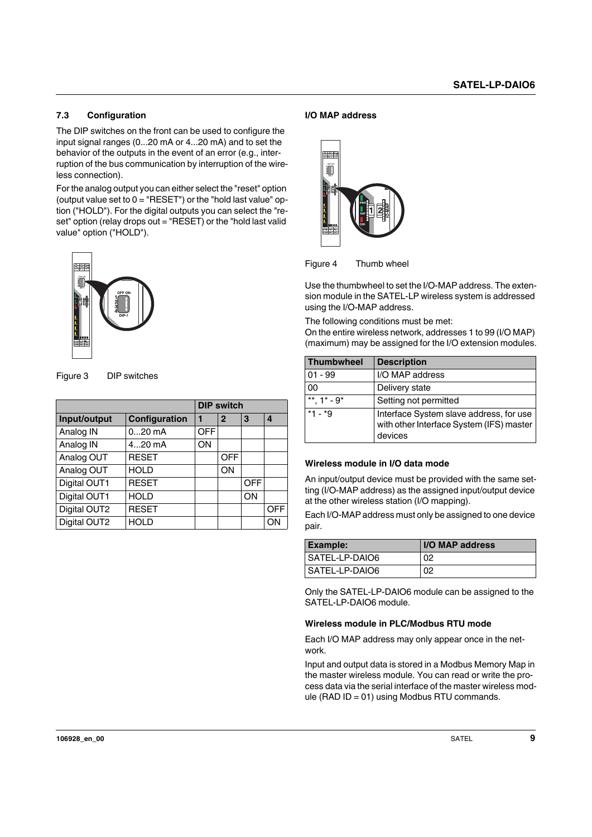#### <span id="page-8-0"></span>**7.3 Configuration**

The DIP switches on the front can be used to configure the input signal ranges (0...20 mA or 4...20 mA) and to set the behavior of the outputs in the event of an error (e.g., interruption of the bus communication by interruption of the wireless connection).

For the analog output you can either select the "reset" option (output value set to  $0 = "RESET")$  or the "hold last value" option ("HOLD"). For the digital outputs you can select the "reset" option (relay drops out = "RESET) or the "hold last valid value" option ("HOLD").



| Figure 3 | DIP switches |
|----------|--------------|
|----------|--------------|

|              |               | <b>DIP switch</b> |              |            |            |
|--------------|---------------|-------------------|--------------|------------|------------|
| Input/output | Configuration |                   | $\mathbf{2}$ | 3          | 4          |
| Analog IN    | $020$ mA      | <b>OFF</b>        |              |            |            |
| Analog IN    | 420 mA        | ON                |              |            |            |
| Analog OUT   | <b>RESET</b>  |                   | <b>OFF</b>   |            |            |
| Analog OUT   | <b>HOLD</b>   |                   | ON           |            |            |
| Digital OUT1 | <b>RESET</b>  |                   |              | <b>OFF</b> |            |
| Digital OUT1 | <b>HOLD</b>   |                   |              | ON         |            |
| Digital OUT2 | <b>RESET</b>  |                   |              |            | <b>OFF</b> |
| Digital OUT2 | <b>HOLD</b>   |                   |              |            | ON         |

#### **I/O MAP address**





Use the thumbwheel to set the I/O-MAP address. The extension module in the SATEL-LP wireless system is addressed using the I/O-MAP address.

The following conditions must be met:

On the entire wireless network, addresses 1 to 99 (I/O MAP) (maximum) may be assigned for the I/O extension modules.

| <b>Thumbwheel</b> | <b>Description</b>                                                                             |
|-------------------|------------------------------------------------------------------------------------------------|
| $01 - 99$         | I/O MAP address                                                                                |
| 00                | Delivery state                                                                                 |
| **. $1^*$ - $9^*$ | Setting not permitted                                                                          |
| $*1 - *9$         | Interface System slave address, for use<br>with other Interface System (IFS) master<br>devices |

#### **Wireless module in I/O data mode**

An input/output device must be provided with the same setting (I/O-MAP address) as the assigned input/output device at the other wireless station (I/O mapping).

Each I/O-MAP address must only be assigned to one device pair.

| <b>Example:</b>  | I/O MAP address |
|------------------|-----------------|
| l SATEL-LP-DAIO6 | 02              |
| SATEL-LP-DAIO6   | 02              |

Only the SATEL-LP-DAIO6 module can be assigned to the SATEL-LP-DAIO6 module.

#### **Wireless module in PLC/Modbus RTU mode**

Each I/O MAP address may only appear once in the network.

Input and output data is stored in a Modbus Memory Map in the master wireless module. You can read or write the process data via the serial interface of the master wireless module (RAD ID = 01) using Modbus RTU commands.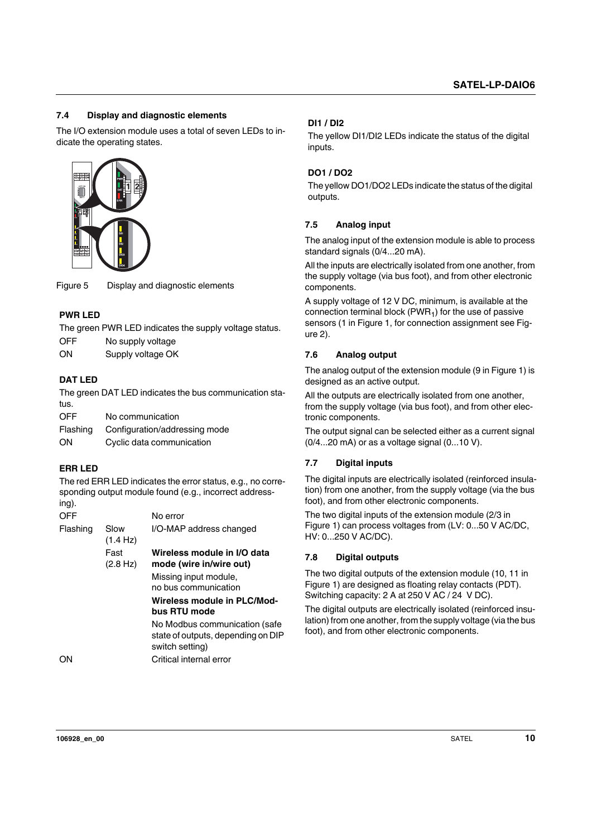#### <span id="page-9-0"></span>**7.4 Display and diagnostic elements**

The I/O extension module uses a total of seven LEDs to indicate the operating states.



Figure 5 Display and diagnostic elements

#### **PWR LED**

The green PWR LED indicates the supply voltage status.

OFF No supply voltage

ON Supply voltage OK

#### **DAT LED**

The green DAT LED indicates the bus communication status.

OFF No communication

Flashing Configuration/addressing mode

#### ON Cyclic data communication

#### **ERR LED**

The red ERR LED indicates the error status, e.g., no corresponding output module found (e.g., incorrect addressing).

| OFF      |                            | No error                                                                               |
|----------|----------------------------|----------------------------------------------------------------------------------------|
| Flashing | Slow<br>$(1.4 \text{ Hz})$ | I/O-MAP address changed                                                                |
|          | Fast<br>(2.8 Hz)           | Wireless module in I/O data<br>mode (wire in/wire out)                                 |
|          |                            | Missing input module,<br>no bus communication                                          |
|          |                            | Wireless module in PLC/Mod-<br>bus RTU mode                                            |
|          |                            | No Modbus communication (safe<br>state of outputs, depending on DIP<br>switch setting) |
| $\sim$   |                            | ∩!!! - - !!! - + - --- - !! - ----                                                     |

ON Critical internal error

#### **DI1 / DI2**

The yellow DI1/DI2 LEDs indicate the status of the digital inputs.

#### **DO1 / DO2**

The yellow DO1/DO2 LEDs indicate the status of the digital outputs.

#### <span id="page-9-1"></span>**7.5 Analog input**

The analog input of the extension module is able to process standard signals (0/4...20 mA).

All the inputs are electrically isolated from one another, from the supply voltage (via bus foot), and from other electronic components.

A supply voltage of 12 V DC, minimum, is available at the connection terminal block (PWR<sub>1</sub>) for the use of passive sensors (1 in Figure 1, for connection assignment see Figure 2).

#### <span id="page-9-2"></span>**7.6 Analog output**

The analog output of the extension module (9 in Figure 1) is designed as an active output.

All the outputs are electrically isolated from one another, from the supply voltage (via bus foot), and from other electronic components.

The output signal can be selected either as a current signal (0/4...20 mA) or as a voltage signal (0...10 V).

#### <span id="page-9-3"></span>**7.7 Digital inputs**

The digital inputs are electrically isolated (reinforced insulation) from one another, from the supply voltage (via the bus foot), and from other electronic components.

The two digital inputs of the extension module (2/3 in Figure 1) can process voltages from (LV: 0...50 V AC/DC, HV: 0...250 V AC/DC).

#### <span id="page-9-4"></span>**7.8 Digital outputs**

The two digital outputs of the extension module (10, 11 in Figure 1) are designed as floating relay contacts (PDT). Switching capacity: 2 A at 250 V AC / 24 V DC).

The digital outputs are electrically isolated (reinforced insulation) from one another, from the supply voltage (via the bus foot), and from other electronic components.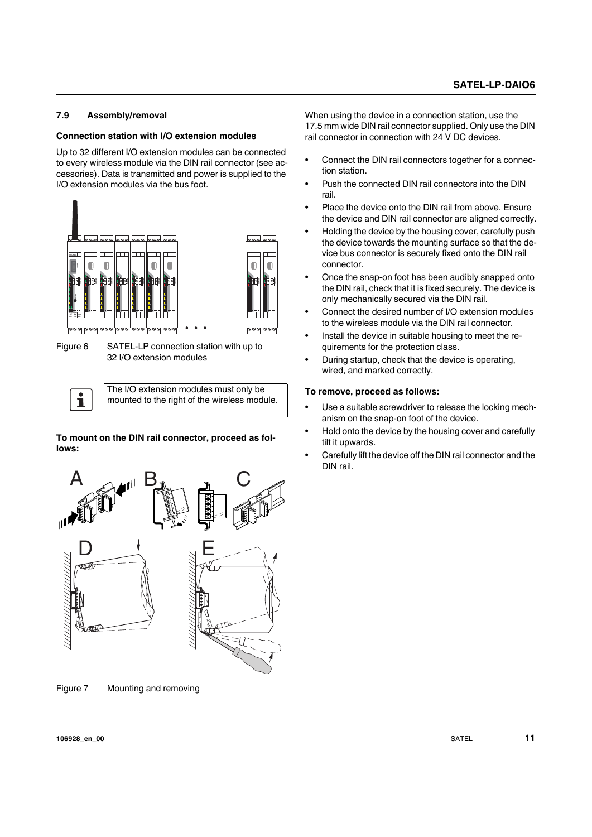#### <span id="page-10-0"></span>**7.9 Assembly/removal**

#### **Connection station with I/O extension modules**

Up to 32 different I/O extension modules can be connected to every wireless module via the DIN rail connector (see accessories). Data is transmitted and power is supplied to the I/O extension modules via the bus foot.



Figure 6 SATEL-LP connection station with up to 32 I/O extension modules

The I/O extension modules must only be  $\mathbf{i}$ mounted to the right of the wireless module.

**To mount on the DIN rail connector, proceed as follows:**



Figure 7 Mounting and removing

When using the device in a connection station, use the 17.5 mm wide DIN rail connector supplied. Only use the DIN rail connector in connection with 24 V DC devices.

- **•** Connect the DIN rail connectors together for a connection station.
- **•** Push the connected DIN rail connectors into the DIN rail.
- **•** Place the device onto the DIN rail from above. Ensure the device and DIN rail connector are aligned correctly.
- **•** Holding the device by the housing cover, carefully push the device towards the mounting surface so that the device bus connector is securely fixed onto the DIN rail connector.
- **•** Once the snap-on foot has been audibly snapped onto the DIN rail, check that it is fixed securely. The device is only mechanically secured via the DIN rail.
- **•** Connect the desired number of I/O extension modules to the wireless module via the DIN rail connector.
- **•** Install the device in suitable housing to meet the requirements for the protection class.
- **•** During startup, check that the device is operating, wired, and marked correctly.

#### **To remove, proceed as follows:**

- **•** Use a suitable screwdriver to release the locking mechanism on the snap-on foot of the device.
- **•** Hold onto the device by the housing cover and carefully tilt it upwards.
- **•** Carefully lift the device off the DIN rail connector and the DIN rail.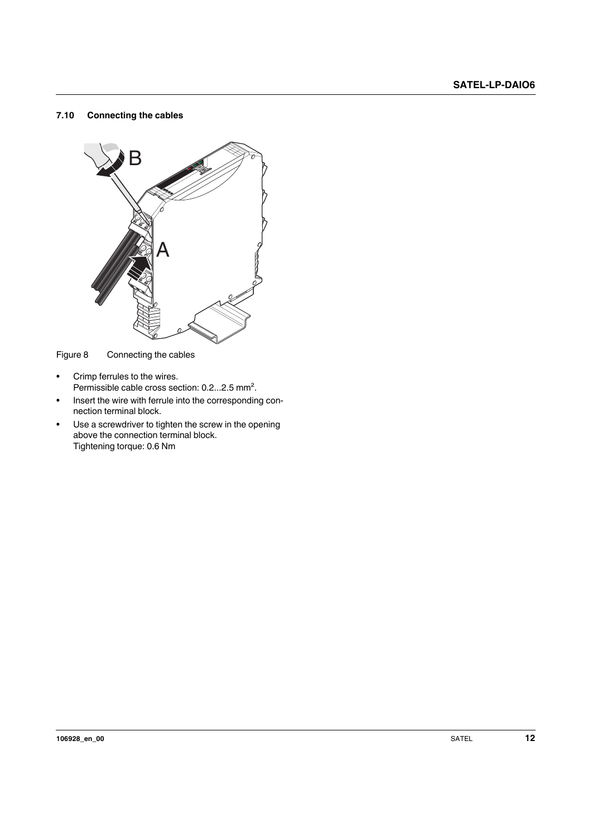#### <span id="page-11-0"></span>**7.10 Connecting the cables**



Figure 8 Connecting the cables

- **•** Crimp ferrules to the wires. Permissible cable cross section: 0.2...2.5 mm².
- **•** Insert the wire with ferrule into the corresponding connection terminal block.
- **•** Use a screwdriver to tighten the screw in the opening above the connection terminal block. Tightening torque: 0.6 Nm